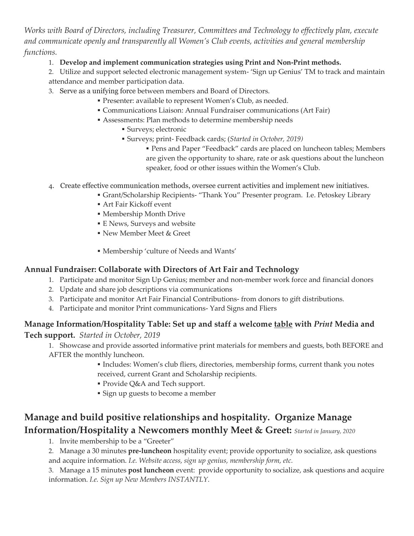*Works with Board of Directors, including Treasurer, Committees and Technology to effectively plan, execute and communicate openly and transparently all Women's Club events, activities and general membership functions.*

#### 1. **Develop and implement communication strategies using Print and Non-Print methods.**

2. Utilize and support selected electronic management system- 'Sign up Genius' TM to track and maintain attendance and member participation data.

- 3. Serve as a unifying force between members and Board of Directors.
	- Presenter: available to represent Women's Club, as needed.
	- Communications Liaison: Annual Fundraiser communications (Art Fair)
	- Assessments: Plan methods to determine membership needs
		- Surveys; electronic
		- Surveys; print- Feedback cards; (*Started in October, 2019)* 
			- Pens and Paper "Feedback" cards are placed on luncheon tables; Members are given the opportunity to share, rate or ask questions about the luncheon speaker, food or other issues within the Women's Club.
- 4. Create effective communication methods, oversee current activities and implement new initiatives.
	- Grant/Scholarship Recipients- "Thank You" Presenter program. I.e. Petoskey Library
		- **Art Fair Kickoff event**
		- Membership Month Drive
		- **E News, Surveys and website**
		- New Member Meet & Greet
		- Membership 'culture of Needs and Wants'

#### **Annual Fundraiser: Collaborate with Directors of Art Fair and Technology**

- 1. Participate and monitor Sign Up Genius; member and non-member work force and financial donors
- 2. Update and share job descriptions via communications
- 3. Participate and monitor Art Fair Financial Contributions- from donors to gift distributions.
- 4. Participate and monitor Print communications- Yard Signs and Fliers

# **Manage Information/Hospitality Table: Set up and staff a welcome table with** *Print* **Media and**

#### **Tech support.** *Started in October, 2019*

1. Showcase and provide assorted informative print materials for members and guests, both BEFORE and AFTER the monthly luncheon.

- Includes: Women's club fliers, directories, membership forms, current thank you notes received, current Grant and Scholarship recipients.
- Provide Q&A and Tech support.
- **•** Sign up guests to become a member

## **Manage and build positive relationships and hospitality. Organize Manage Information/Hospitality a Newcomers monthly Meet & Greet:** *Started in January, 2020*

1. Invite membership to be a "Greeter"

2. Manage a 30 minutes **pre-luncheon** hospitality event; provide opportunity to socialize, ask questions and acquire information. *I.e. Website access, sign up genius, membership form, etc.*

3. Manage a 15 minutes **post luncheon** event: provide opportunity to socialize, ask questions and acquire information. *I.e. Sign up New Members INSTANTLY.*